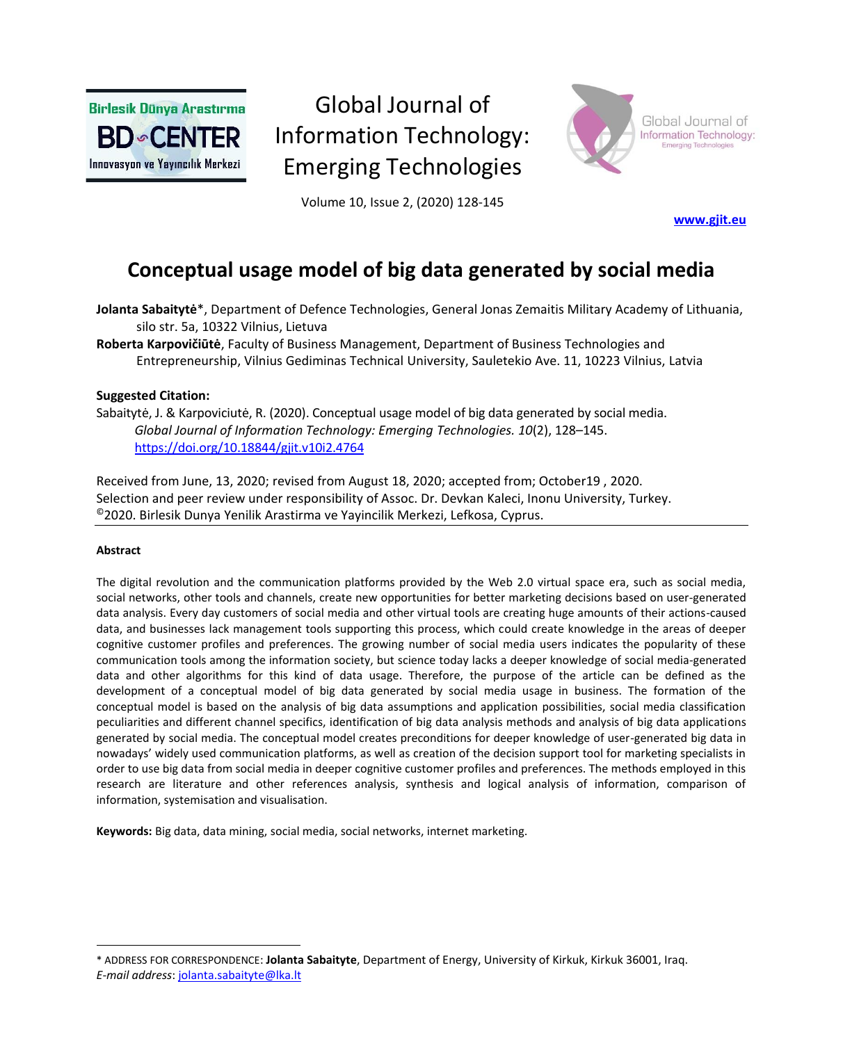**Birlesik Dünya Arastırma BD** CENTER Innovasyon ve Yayıncılık Merkezi

# Global Journal of Information Technology: Emerging Technologies



Global Journal of Information Technology:

Volume 10, Issue 2, (2020) 128-145

**[www.gjit.eu](http://www.gjit.eu/)**

# **Conceptual usage model of big data generated by social media**

**Jolanta Sabaitytė**\*, Department of Defence Technologies, General Jonas Zemaitis Military Academy of Lithuania, silo str. 5a, 10322 Vilnius, Lietuva

**Roberta Karpovičiūtė**, Faculty of Business Management, Department of Business Technologies and Entrepreneurship, Vilnius Gediminas Technical University, Sauletekio Ave. 11, 10223 Vilnius, Latvia

## **Suggested Citation:**

Sabaitytė, J. & Karpoviciutė, R. (2020). Conceptual usage model of big data generated by social media. *Global Journal of Information Technology: Emerging Technologies. 10*(2), 128–145. <https://doi.org/10.18844/gjit.v10i2.4764>

Received from June, 13, 2020; revised from August 18, 2020; accepted from; October19 , 2020. Selection and peer review under responsibility of Assoc. Dr. Devkan Kaleci, Inonu University, Turkey. ©2020. Birlesik Dunya Yenilik Arastirma ve Yayincilik Merkezi, Lefkosa, Cyprus.

#### **Abstract**

The digital revolution and the communication platforms provided by the Web 2.0 virtual space era, such as social media, social networks, other tools and channels, create new opportunities for better marketing decisions based on user-generated data analysis. Every day customers of social media and other virtual tools are creating huge amounts of their actions-caused data, and businesses lack management tools supporting this process, which could create knowledge in the areas of deeper cognitive customer profiles and preferences. The growing number of social media users indicates the popularity of these communication tools among the information society, but science today lacks a deeper knowledge of social media-generated data and other algorithms for this kind of data usage. Therefore, the purpose of the article can be defined as the development of a conceptual model of big data generated by social media usage in business. The formation of the conceptual model is based on the analysis of big data assumptions and application possibilities, social media classification peculiarities and different channel specifics, identification of big data analysis methods and analysis of big data applications generated by social media. The conceptual model creates preconditions for deeper knowledge of user-generated big data in nowadays' widely used communication platforms, as well as creation of the decision support tool for marketing specialists in order to use big data from social media in deeper cognitive customer profiles and preferences. The methods employed in this research are literature and other references analysis, synthesis and logical analysis of information, comparison of information, systemisation and visualisation.

**Keywords:** Big data, data mining, social media, social networks, internet marketing.

<sup>\*</sup> ADDRESS FOR CORRESPONDENCE: **Jolanta Sabaityte**, Department of Energy, University of Kirkuk, Kirkuk 36001, Iraq.

*E-mail address*: [jolanta.sabaityte@lka.lt](mailto:jolanta.sabaityte@lka.lt)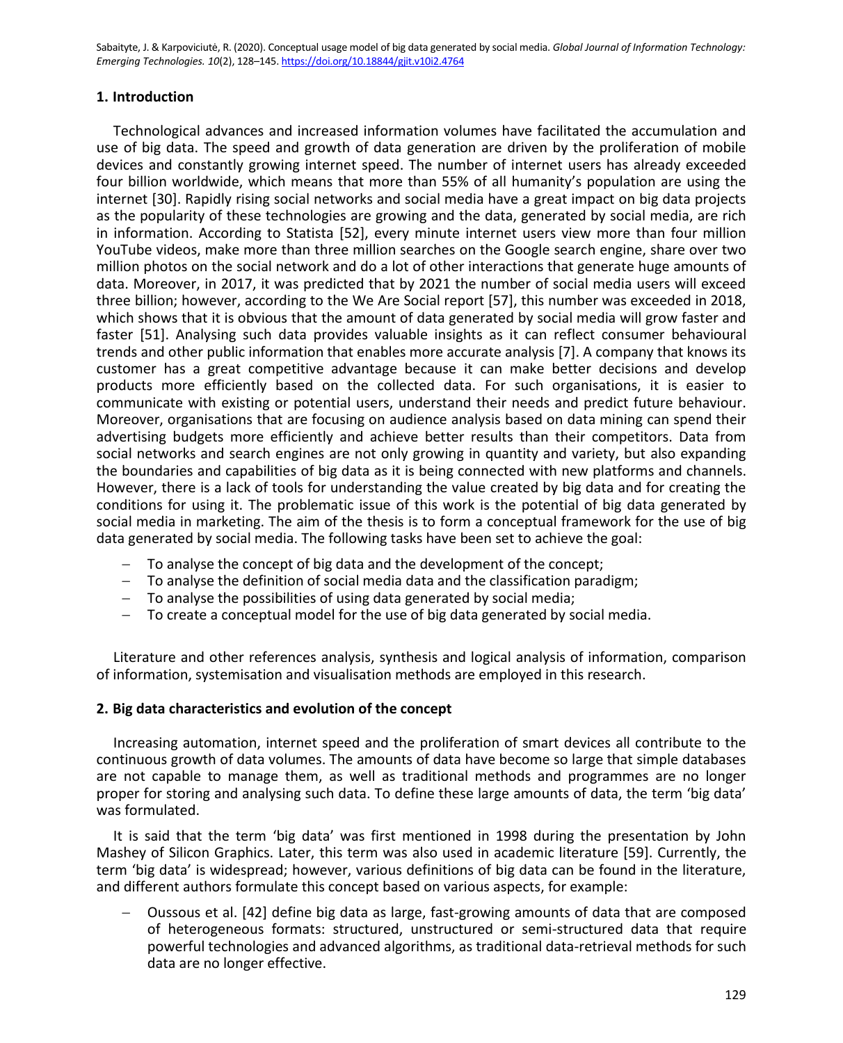# **1. Introduction**

Technological advances and increased information volumes have facilitated the accumulation and use of big data. The speed and growth of data generation are driven by the proliferation of mobile devices and constantly growing internet speed. The number of internet users has already exceeded four billion worldwide, which means that more than 55% of all humanity's population are using the internet [30]. Rapidly rising social networks and social media have a great impact on big data projects as the popularity of these technologies are growing and the data, generated by social media, are rich in information. According to Statista [52], every minute internet users view more than four million YouTube videos, make more than three million searches on the Google search engine, share over two million photos on the social network and do a lot of other interactions that generate huge amounts of data. Moreover, in 2017, it was predicted that by 2021 the number of social media users will exceed three billion; however, according to the We Are Social report [57], this number was exceeded in 2018, which shows that it is obvious that the amount of data generated by social media will grow faster and faster [51]. Analysing such data provides valuable insights as it can reflect consumer behavioural trends and other public information that enables more accurate analysis [7]. A company that knows its customer has a great competitive advantage because it can make better decisions and develop products more efficiently based on the collected data. For such organisations, it is easier to communicate with existing or potential users, understand their needs and predict future behaviour. Moreover, organisations that are focusing on audience analysis based on data mining can spend their advertising budgets more efficiently and achieve better results than their competitors. Data from social networks and search engines are not only growing in quantity and variety, but also expanding the boundaries and capabilities of big data as it is being connected with new platforms and channels. However, there is a lack of tools for understanding the value created by big data and for creating the conditions for using it. The problematic issue of this work is the potential of big data generated by social media in marketing. The aim of the thesis is to form a conceptual framework for the use of big data generated by social media. The following tasks have been set to achieve the goal:

- − To analyse the concept of big data and the development of the concept;
- − To analyse the definition of social media data and the classification paradigm;
- − To analyse the possibilities of using data generated by social media;
- − To create a conceptual model for the use of big data generated by social media.

Literature and other references analysis, synthesis and logical analysis of information, comparison of information, systemisation and visualisation methods are employed in this research.

## **2. Big data characteristics and evolution of the concept**

Increasing automation, internet speed and the proliferation of smart devices all contribute to the continuous growth of data volumes. The amounts of data have become so large that simple databases are not capable to manage them, as well as traditional methods and programmes are no longer proper for storing and analysing such data. To define these large amounts of data, the term 'big data' was formulated.

It is said that the term 'big data' was first mentioned in 1998 during the presentation by John Mashey of Silicon Graphics. Later, this term was also used in academic literature [59]. Currently, the term 'big data' is widespread; however, various definitions of big data can be found in the literature, and different authors formulate this concept based on various aspects, for example:

− Oussous et al. [42] define big data as large, fast-growing amounts of data that are composed of heterogeneous formats: structured, unstructured or semi-structured data that require powerful technologies and advanced algorithms, as traditional data-retrieval methods for such data are no longer effective.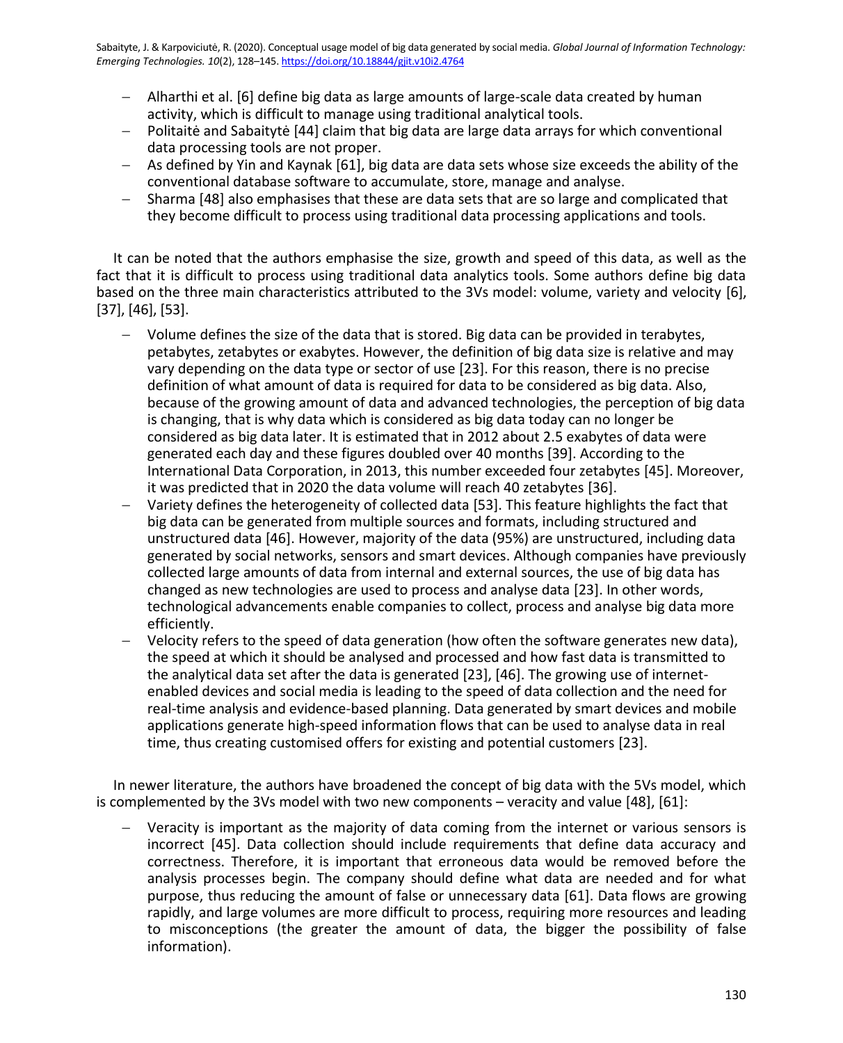- − Alharthi et al. [6] define big data as large amounts of large-scale data created by human activity, which is difficult to manage using traditional analytical tools.
- − Politaitė and Sabaitytė [44] claim that big data are large data arrays for which conventional data processing tools are not proper.
- − As defined by Yin and Kaynak [61], big data are data sets whose size exceeds the ability of the conventional database software to accumulate, store, manage and analyse.
- − Sharma [48] also emphasises that these are data sets that are so large and complicated that they become difficult to process using traditional data processing applications and tools.

It can be noted that the authors emphasise the size, growth and speed of this data, as well as the fact that it is difficult to process using traditional data analytics tools. Some authors define big data based on the three main characteristics attributed to the 3Vs model: volume, variety and velocity [6], [37], [46], [53].

- Volume defines the size of the data that is stored. Big data can be provided in terabytes, petabytes, zetabytes or exabytes. However, the definition of big data size is relative and may vary depending on the data type or sector of use [23]. For this reason, there is no precise definition of what amount of data is required for data to be considered as big data. Also, because of the growing amount of data and advanced technologies, the perception of big data is changing, that is why data which is considered as big data today can no longer be considered as big data later. It is estimated that in 2012 about 2.5 exabytes of data were generated each day and these figures doubled over 40 months [39]. According to the International Data Corporation, in 2013, this number exceeded four zetabytes [45]. Moreover, it was predicted that in 2020 the data volume will reach 40 zetabytes [36].
- Variety defines the heterogeneity of collected data [53]. This feature highlights the fact that big data can be generated from multiple sources and formats, including structured and unstructured data [46]. However, majority of the data (95%) are unstructured, including data generated by social networks, sensors and smart devices. Although companies have previously collected large amounts of data from internal and external sources, the use of big data has changed as new technologies are used to process and analyse data [23]. In other words, technological advancements enable companies to collect, process and analyse big data more efficiently.
- − Velocity refers to the speed of data generation (how often the software generates new data), the speed at which it should be analysed and processed and how fast data is transmitted to the analytical data set after the data is generated [23], [46]. The growing use of internetenabled devices and social media is leading to the speed of data collection and the need for real-time analysis and evidence-based planning. Data generated by smart devices and mobile applications generate high-speed information flows that can be used to analyse data in real time, thus creating customised offers for existing and potential customers [23].

In newer literature, the authors have broadened the concept of big data with the 5Vs model, which is complemented by the 3Vs model with two new components – veracity and value [48], [61]:

Veracity is important as the majority of data coming from the internet or various sensors is incorrect [45]. Data collection should include requirements that define data accuracy and correctness. Therefore, it is important that erroneous data would be removed before the analysis processes begin. The company should define what data are needed and for what purpose, thus reducing the amount of false or unnecessary data [61]. Data flows are growing rapidly, and large volumes are more difficult to process, requiring more resources and leading to misconceptions (the greater the amount of data, the bigger the possibility of false information).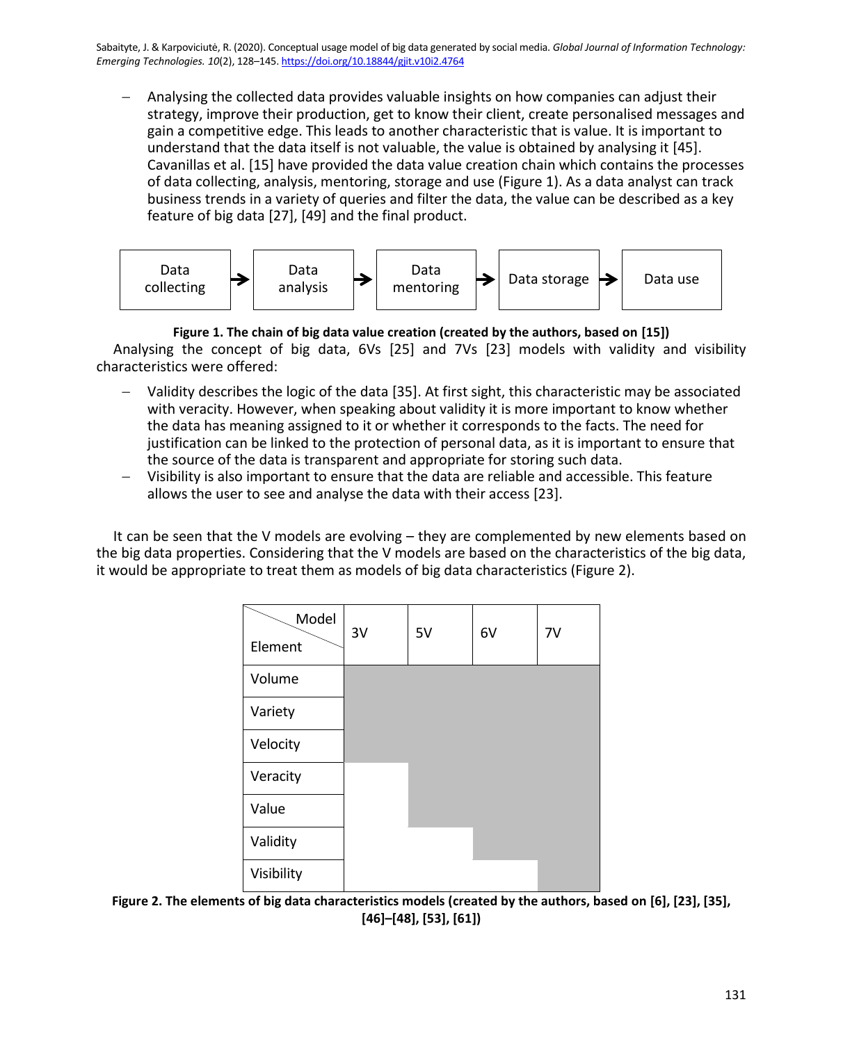− Analysing the collected data provides valuable insights on how companies can adjust their strategy, improve their production, get to know their client, create personalised messages and gain a competitive edge. This leads to another characteristic that is value. It is important to understand that the data itself is not valuable, the value is obtained by analysing it [45]. Cavanillas et al. [15] have provided the data value creation chain which contains the processes of data collecting, analysis, mentoring, storage and use (Figure 1). As a data analyst can track business trends in a variety of queries and filter the data, the value can be described as a key feature of big data [27], [49] and the final product.



**Figure 1. The chain of big data value creation (created by the authors, based on [15])** Analysing the concept of big data, 6Vs [25] and 7Vs [23] models with validity and visibility characteristics were offered:

- − Validity describes the logic of the data [35]. At first sight, this characteristic may be associated with veracity. However, when speaking about validity it is more important to know whether the data has meaning assigned to it or whether it corresponds to the facts. The need for justification can be linked to the protection of personal data, as it is important to ensure that the source of the data is transparent and appropriate for storing such data.
- − Visibility is also important to ensure that the data are reliable and accessible. This feature allows the user to see and analyse the data with their access [23].

It can be seen that the V models are evolving – they are complemented by new elements based on the big data properties. Considering that the V models are based on the characteristics of the big data, it would be appropriate to treat them as models of big data characteristics (Figure 2).

| Model      | 3V | 5V | 6V | 7V |
|------------|----|----|----|----|
| Element    |    |    |    |    |
| Volume     |    |    |    |    |
| Variety    |    |    |    |    |
| Velocity   |    |    |    |    |
| Veracity   |    |    |    |    |
| Value      |    |    |    |    |
| Validity   |    |    |    |    |
| Visibility |    |    |    |    |

**Figure 2. The elements of big data characteristics models (created by the authors, based on [6], [23], [35], [46]–[48], [53], [61])**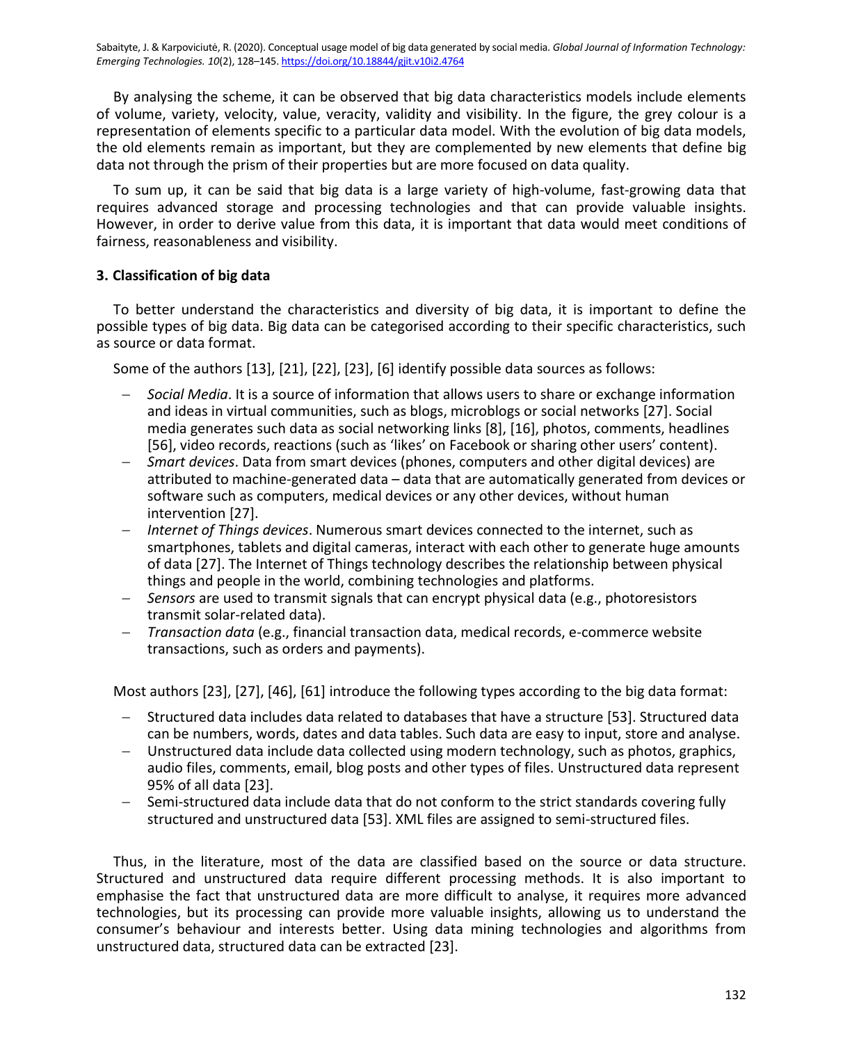By analysing the scheme, it can be observed that big data characteristics models include elements of volume, variety, velocity, value, veracity, validity and visibility. In the figure, the grey colour is a representation of elements specific to a particular data model. With the evolution of big data models, the old elements remain as important, but they are complemented by new elements that define big data not through the prism of their properties but are more focused on data quality.

To sum up, it can be said that big data is a large variety of high-volume, fast-growing data that requires advanced storage and processing technologies and that can provide valuable insights. However, in order to derive value from this data, it is important that data would meet conditions of fairness, reasonableness and visibility.

# **3. Classification of big data**

To better understand the characteristics and diversity of big data, it is important to define the possible types of big data. Big data can be categorised according to their specific characteristics, such as source or data format.

Some of the authors [13], [21], [22], [23], [6] identify possible data sources as follows:

- − *Social Media*. It is a source of information that allows users to share or exchange information and ideas in virtual communities, such as blogs, microblogs or social networks [27]. Social media generates such data as social networking links [8], [16], photos, comments, headlines [56], video records, reactions (such as 'likes' on Facebook or sharing other users' content).
- − *Smart devices*. Data from smart devices (phones, computers and other digital devices) are attributed to machine-generated data – data that are automatically generated from devices or software such as computers, medical devices or any other devices, without human intervention [27].
- *Internet of Things devices*. Numerous smart devices connected to the internet, such as smartphones, tablets and digital cameras, interact with each other to generate huge amounts of data [27]. The Internet of Things technology describes the relationship between physical things and people in the world, combining technologies and platforms.
- − *Sensors* are used to transmit signals that can encrypt physical data (e.g., photoresistors transmit solar-related data).
- − *Transaction data* (e.g., financial transaction data, medical records, e-commerce website transactions, such as orders and payments).

Most authors [23], [27], [46], [61] introduce the following types according to the big data format:

- − Structured data includes data related to databases that have a structure [53]. Structured data can be numbers, words, dates and data tables. Such data are easy to input, store and analyse.
- − Unstructured data include data collected using modern technology, such as photos, graphics, audio files, comments, email, blog posts and other types of files. Unstructured data represent 95% of all data [23].
- − Semi-structured data include data that do not conform to the strict standards covering fully structured and unstructured data [53]. XML files are assigned to semi-structured files.

Thus, in the literature, most of the data are classified based on the source or data structure. Structured and unstructured data require different processing methods. It is also important to emphasise the fact that unstructured data are more difficult to analyse, it requires more advanced technologies, but its processing can provide more valuable insights, allowing us to understand the consumer's behaviour and interests better. Using data mining technologies and algorithms from unstructured data, structured data can be extracted [23].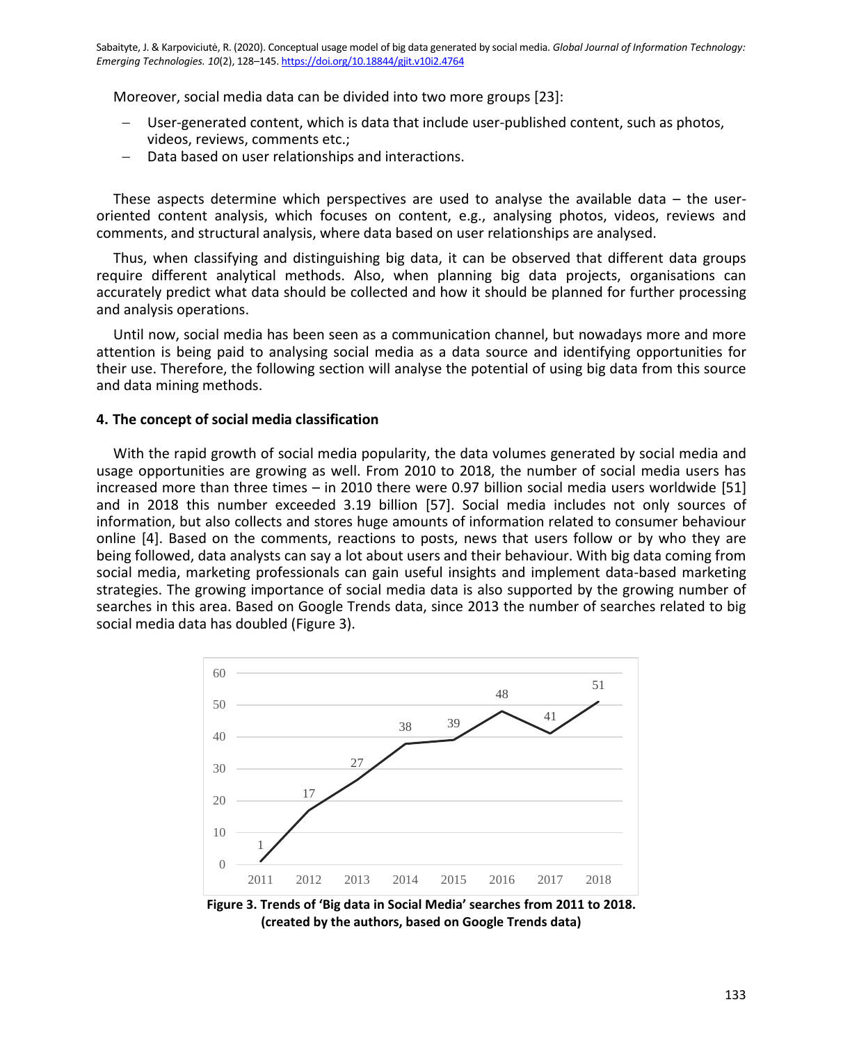Moreover, social media data can be divided into two more groups [23]:

- User-generated content, which is data that include user-published content, such as photos, videos, reviews, comments etc.;
- Data based on user relationships and interactions.

These aspects determine which perspectives are used to analyse the available data – the useroriented content analysis, which focuses on content, e.g., analysing photos, videos, reviews and comments, and structural analysis, where data based on user relationships are analysed.

Thus, when classifying and distinguishing big data, it can be observed that different data groups require different analytical methods. Also, when planning big data projects, organisations can accurately predict what data should be collected and how it should be planned for further processing and analysis operations.

Until now, social media has been seen as a communication channel, but nowadays more and more attention is being paid to analysing social media as a data source and identifying opportunities for their use. Therefore, the following section will analyse the potential of using big data from this source and data mining methods.

# **4. The concept of social media classification**

With the rapid growth of social media popularity, the data volumes generated by social media and usage opportunities are growing as well. From 2010 to 2018, the number of social media users has increased more than three times – in 2010 there were 0.97 billion social media users worldwide [51] and in 2018 this number exceeded 3.19 billion [57]. Social media includes not only sources of information, but also collects and stores huge amounts of information related to consumer behaviour online [4]. Based on the comments, reactions to posts, news that users follow or by who they are being followed, data analysts can say a lot about users and their behaviour. With big data coming from social media, marketing professionals can gain useful insights and implement data-based marketing strategies. The growing importance of social media data is also supported by the growing number of searches in this area. Based on Google Trends data, since 2013 the number of searches related to big social media data has doubled (Figure 3).



**Figure 3. Trends of 'Big data in Social Media' searches from 2011 to 2018. (created by the authors, based on Google Trends data)**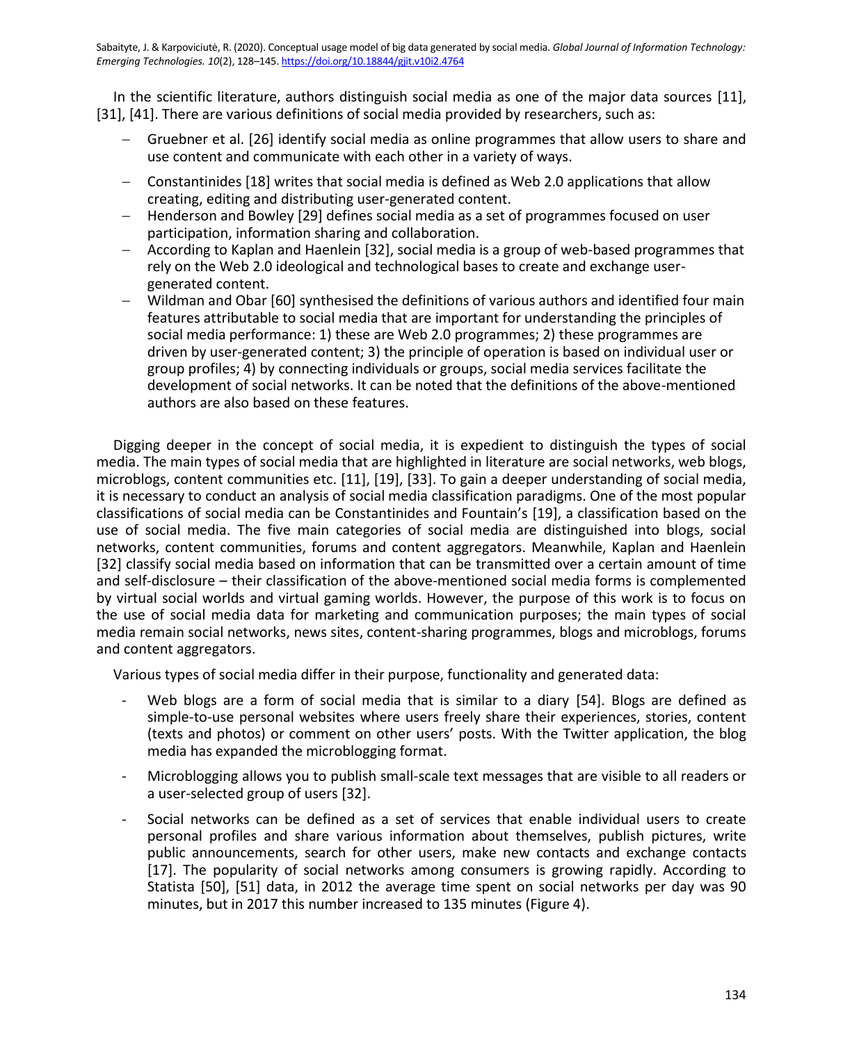In the scientific literature, authors distinguish social media as one of the major data sources [11], [31], [41]. There are various definitions of social media provided by researchers, such as:

- − Gruebner et al. [26] identify social media as online programmes that allow users to share and use content and communicate with each other in a variety of ways.
- − Constantinides [18] writes that social media is defined as Web 2.0 applications that allow creating, editing and distributing user-generated content.
- − Henderson and Bowley [29] defines social media as a set of programmes focused on user participation, information sharing and collaboration.
- − According to Kaplan and Haenlein [32], social media is a group of web-based programmes that rely on the Web 2.0 ideological and technological bases to create and exchange usergenerated content.
- − Wildman and Obar [60] synthesised the definitions of various authors and identified four main features attributable to social media that are important for understanding the principles of social media performance: 1) these are Web 2.0 programmes; 2) these programmes are driven by user-generated content; 3) the principle of operation is based on individual user or group profiles; 4) by connecting individuals or groups, social media services facilitate the development of social networks. It can be noted that the definitions of the above-mentioned authors are also based on these features.

Digging deeper in the concept of social media, it is expedient to distinguish the types of social media. The main types of social media that are highlighted in literature are social networks, web blogs, microblogs, content communities etc. [11], [19], [33]. To gain a deeper understanding of social media, it is necessary to conduct an analysis of social media classification paradigms. One of the most popular classifications of social media can be Constantinides and Fountain's [19], a classification based on the use of social media. The five main categories of social media are distinguished into blogs, social networks, content communities, forums and content aggregators. Meanwhile, Kaplan and Haenlein [32] classify social media based on information that can be transmitted over a certain amount of time and self-disclosure – their classification of the above-mentioned social media forms is complemented by virtual social worlds and virtual gaming worlds. However, the purpose of this work is to focus on the use of social media data for marketing and communication purposes; the main types of social media remain social networks, news sites, content-sharing programmes, blogs and microblogs, forums and content aggregators.

Various types of social media differ in their purpose, functionality and generated data:

- Web blogs are a form of social media that is similar to a diary [54]. Blogs are defined as simple-to-use personal websites where users freely share their experiences, stories, content (texts and photos) or comment on other users' posts. With the Twitter application, the blog media has expanded the microblogging format.
- Microblogging allows you to publish small-scale text messages that are visible to all readers or a user-selected group of users [32].
- Social networks can be defined as a set of services that enable individual users to create personal profiles and share various information about themselves, publish pictures, write public announcements, search for other users, make new contacts and exchange contacts [17]. The popularity of social networks among consumers is growing rapidly. According to Statista [50], [51] data, in 2012 the average time spent on social networks per day was 90 minutes, but in 2017 this number increased to 135 minutes (Figure 4).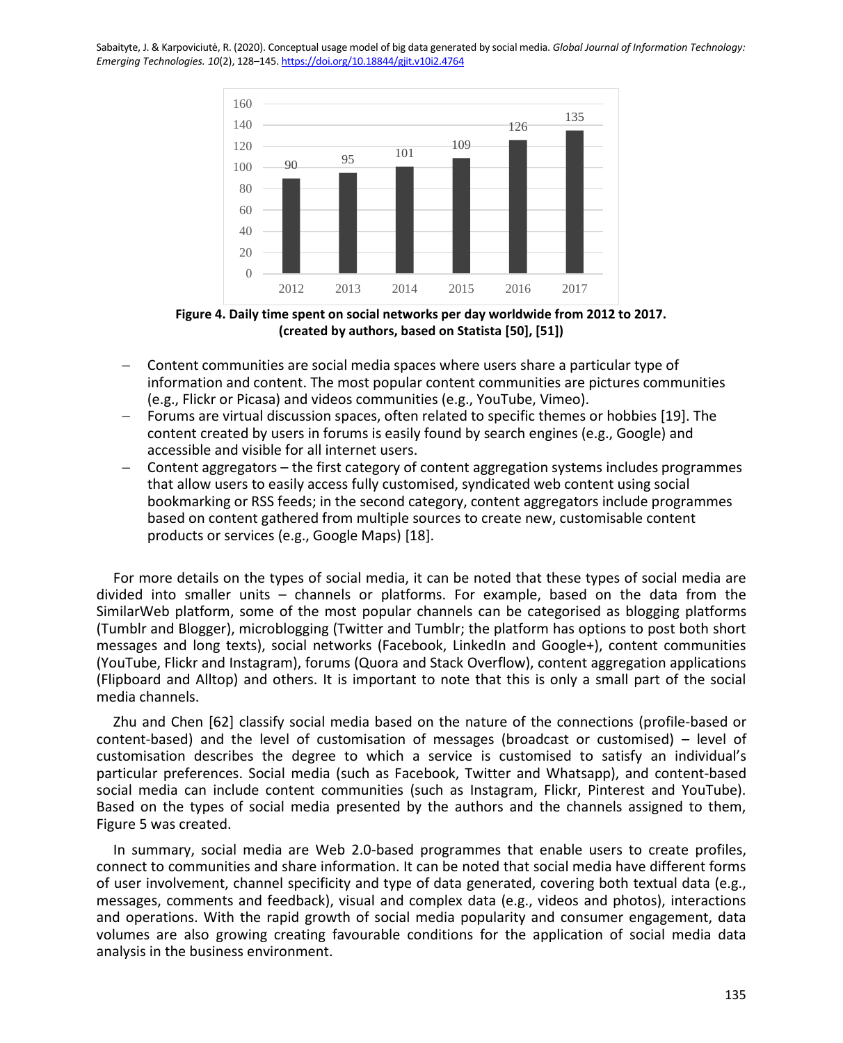

**Figure 4. Daily time spent on social networks per day worldwide from 2012 to 2017. (created by authors, based on Statista [50], [51])**

- − Content communities are social media spaces where users share a particular type of information and content. The most popular content communities are pictures communities (e.g., Flickr or Picasa) and videos communities (e.g., YouTube, Vimeo).
- − Forums are virtual discussion spaces, often related to specific themes or hobbies [19]. The content created by users in forums is easily found by search engines (e.g., Google) and accessible and visible for all internet users.
- − Content aggregators the first category of content aggregation systems includes programmes that allow users to easily access fully customised, syndicated web content using social bookmarking or RSS feeds; in the second category, content aggregators include programmes based on content gathered from multiple sources to create new, customisable content products or services (e.g., Google Maps) [18].

For more details on the types of social media, it can be noted that these types of social media are divided into smaller units – channels or platforms. For example, based on the data from the SimilarWeb platform, some of the most popular channels can be categorised as blogging platforms (Tumblr and Blogger), microblogging (Twitter and Tumblr; the platform has options to post both short messages and long texts), social networks (Facebook, LinkedIn and Google+), content communities (YouTube, Flickr and Instagram), forums (Quora and Stack Overflow), content aggregation applications (Flipboard and Alltop) and others. It is important to note that this is only a small part of the social media channels.

Zhu and Chen [62] classify social media based on the nature of the connections (profile-based or content-based) and the level of customisation of messages (broadcast or customised) – level of customisation describes the degree to which a service is customised to satisfy an individual's particular preferences. Social media (such as Facebook, Twitter and Whatsapp), and content-based social media can include content communities (such as Instagram, Flickr, Pinterest and YouTube). Based on the types of social media presented by the authors and the channels assigned to them, Figure 5 was created.

In summary, social media are Web 2.0-based programmes that enable users to create profiles, connect to communities and share information. It can be noted that social media have different forms of user involvement, channel specificity and type of data generated, covering both textual data (e.g., messages, comments and feedback), visual and complex data (e.g., videos and photos), interactions and operations. With the rapid growth of social media popularity and consumer engagement, data volumes are also growing creating favourable conditions for the application of social media data analysis in the business environment.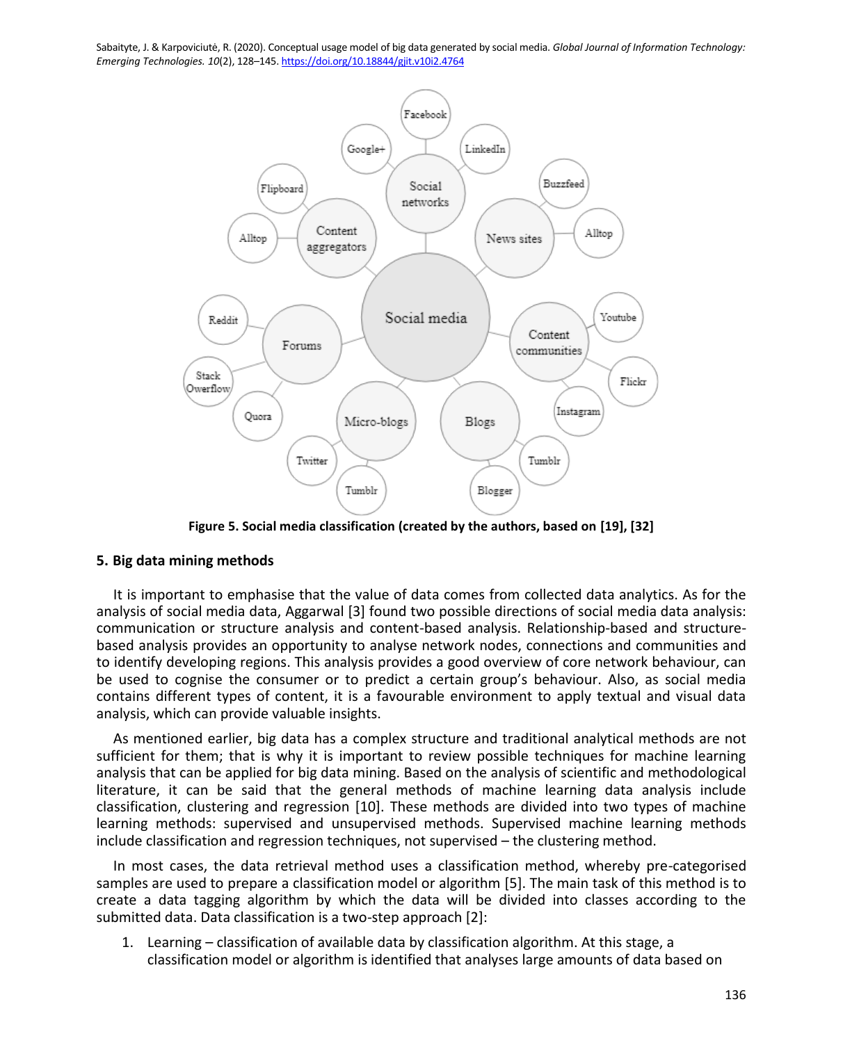

**Figure 5. Social media classification (created by the authors, based on [19], [32]**

# **5. Big data mining methods**

It is important to emphasise that the value of data comes from collected data analytics. As for the analysis of social media data, Aggarwal [3] found two possible directions of social media data analysis: communication or structure analysis and content-based analysis. Relationship-based and structurebased analysis provides an opportunity to analyse network nodes, connections and communities and to identify developing regions. This analysis provides a good overview of core network behaviour, can be used to cognise the consumer or to predict a certain group's behaviour. Also, as social media contains different types of content, it is a favourable environment to apply textual and visual data analysis, which can provide valuable insights.

As mentioned earlier, big data has a complex structure and traditional analytical methods are not sufficient for them; that is why it is important to review possible techniques for machine learning analysis that can be applied for big data mining. Based on the analysis of scientific and methodological literature, it can be said that the general methods of machine learning data analysis include classification, clustering and regression [10]. These methods are divided into two types of machine learning methods: supervised and unsupervised methods. Supervised machine learning methods include classification and regression techniques, not supervised – the clustering method.

In most cases, the data retrieval method uses a classification method, whereby pre-categorised samples are used to prepare a classification model or algorithm [5]. The main task of this method is to create a data tagging algorithm by which the data will be divided into classes according to the submitted data. Data classification is a two-step approach [2]:

1. Learning – classification of available data by classification algorithm. At this stage, a classification model or algorithm is identified that analyses large amounts of data based on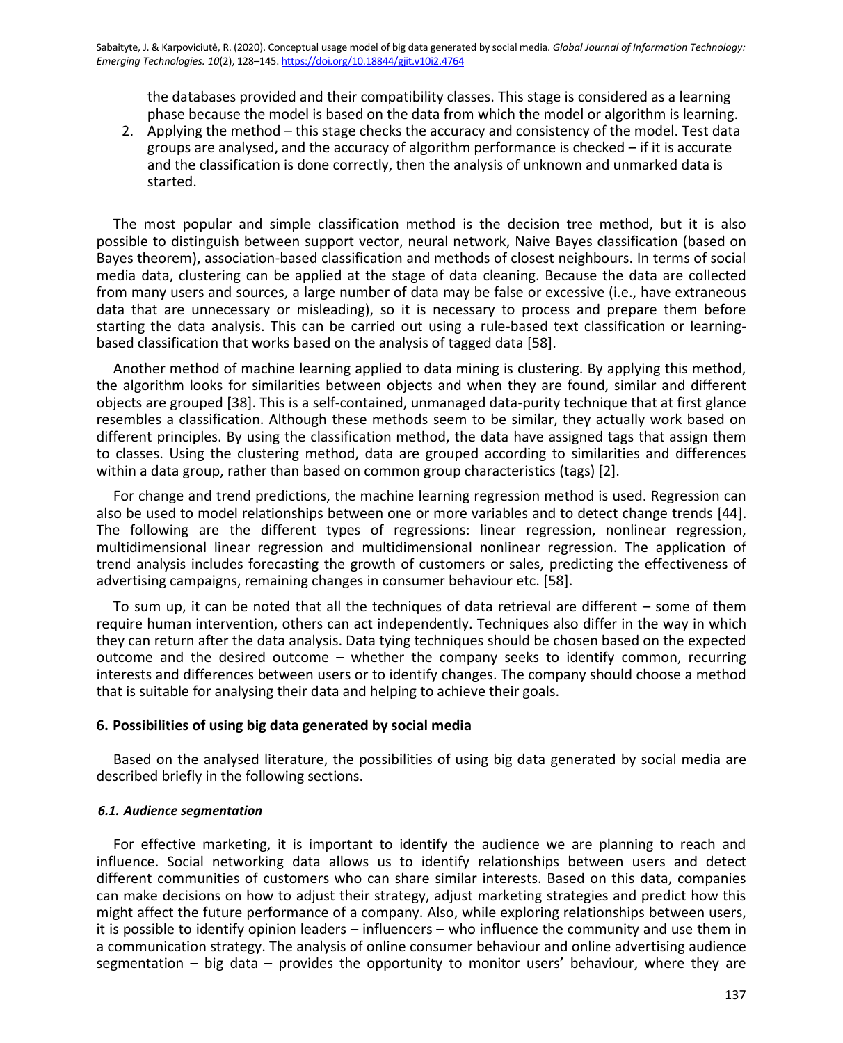the databases provided and their compatibility classes. This stage is considered as a learning phase because the model is based on the data from which the model or algorithm is learning.

2. Applying the method – this stage checks the accuracy and consistency of the model. Test data groups are analysed, and the accuracy of algorithm performance is checked – if it is accurate and the classification is done correctly, then the analysis of unknown and unmarked data is started.

The most popular and simple classification method is the decision tree method, but it is also possible to distinguish between support vector, neural network, Naive Bayes classification (based on Bayes theorem), association-based classification and methods of closest neighbours. In terms of social media data, clustering can be applied at the stage of data cleaning. Because the data are collected from many users and sources, a large number of data may be false or excessive (i.e., have extraneous data that are unnecessary or misleading), so it is necessary to process and prepare them before starting the data analysis. This can be carried out using a rule-based text classification or learningbased classification that works based on the analysis of tagged data [58].

Another method of machine learning applied to data mining is clustering. By applying this method, the algorithm looks for similarities between objects and when they are found, similar and different objects are grouped [38]. This is a self-contained, unmanaged data-purity technique that at first glance resembles a classification. Although these methods seem to be similar, they actually work based on different principles. By using the classification method, the data have assigned tags that assign them to classes. Using the clustering method, data are grouped according to similarities and differences within a data group, rather than based on common group characteristics (tags) [2].

For change and trend predictions, the machine learning regression method is used. Regression can also be used to model relationships between one or more variables and to detect change trends [44]. The following are the different types of regressions: linear regression, nonlinear regression, multidimensional linear regression and multidimensional nonlinear regression. The application of trend analysis includes forecasting the growth of customers or sales, predicting the effectiveness of advertising campaigns, remaining changes in consumer behaviour etc. [58].

To sum up, it can be noted that all the techniques of data retrieval are different – some of them require human intervention, others can act independently. Techniques also differ in the way in which they can return after the data analysis. Data tying techniques should be chosen based on the expected outcome and the desired outcome – whether the company seeks to identify common, recurring interests and differences between users or to identify changes. The company should choose a method that is suitable for analysing their data and helping to achieve their goals.

# **6. Possibilities of using big data generated by social media**

Based on the analysed literature, the possibilities of using big data generated by social media are described briefly in the following sections.

## *6.1. Audience segmentation*

For effective marketing, it is important to identify the audience we are planning to reach and influence. Social networking data allows us to identify relationships between users and detect different communities of customers who can share similar interests. Based on this data, companies can make decisions on how to adjust their strategy, adjust marketing strategies and predict how this might affect the future performance of a company. Also, while exploring relationships between users, it is possible to identify opinion leaders – influencers – who influence the community and use them in a communication strategy. The analysis of online consumer behaviour and online advertising audience segmentation – big data – provides the opportunity to monitor users' behaviour, where they are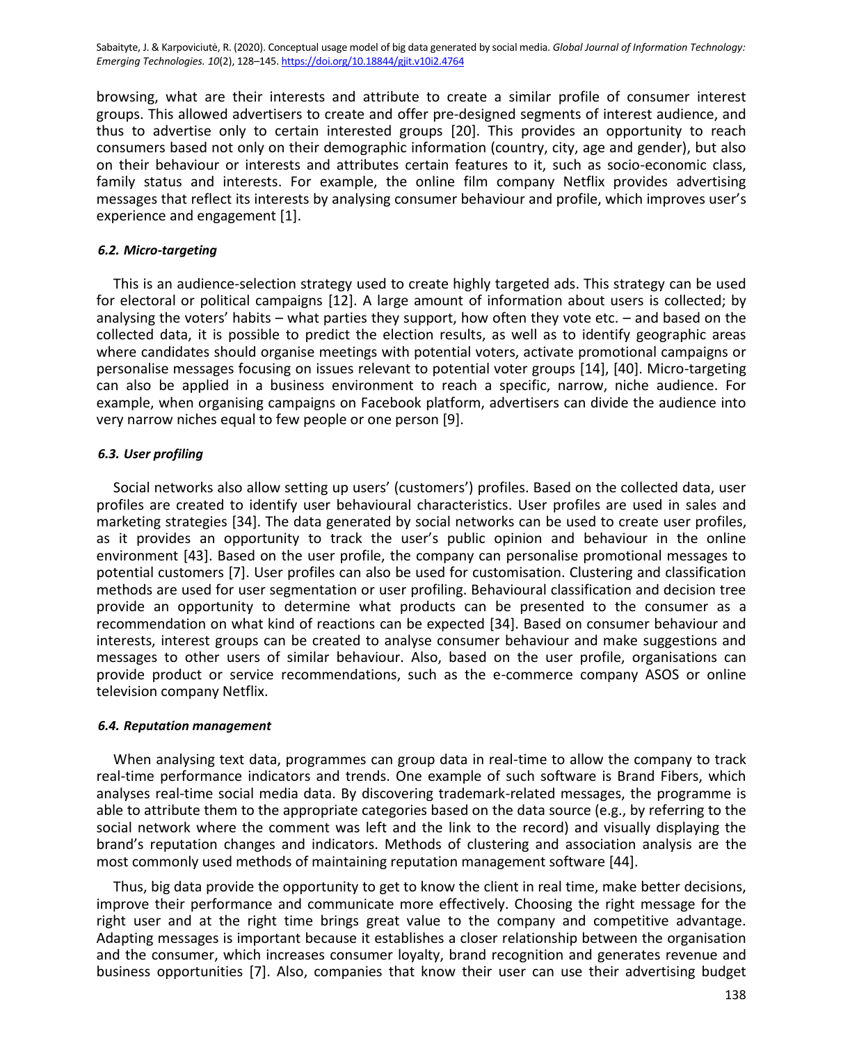browsing, what are their interests and attribute to create a similar profile of consumer interest groups. This allowed advertisers to create and offer pre-designed segments of interest audience, and thus to advertise only to certain interested groups [20]. This provides an opportunity to reach consumers based not only on their demographic information (country, city, age and gender), but also on their behaviour or interests and attributes certain features to it, such as socio-economic class, family status and interests. For example, the online film company Netflix provides advertising messages that reflect its interests by analysing consumer behaviour and profile, which improves user's experience and engagement [1].

#### *6.2. Micro-targeting*

This is an audience-selection strategy used to create highly targeted ads. This strategy can be used for electoral or political campaigns [12]. A large amount of information about users is collected; by analysing the voters' habits – what parties they support, how often they vote etc. – and based on the collected data, it is possible to predict the election results, as well as to identify geographic areas where candidates should organise meetings with potential voters, activate promotional campaigns or personalise messages focusing on issues relevant to potential voter groups [14], [40]. Micro-targeting can also be applied in a business environment to reach a specific, narrow, niche audience. For example, when organising campaigns on Facebook platform, advertisers can divide the audience into very narrow niches equal to few people or one person [9].

#### *6.3. User profiling*

Social networks also allow setting up users' (customers') profiles. Based on the collected data, user profiles are created to identify user behavioural characteristics. User profiles are used in sales and marketing strategies [34]. The data generated by social networks can be used to create user profiles, as it provides an opportunity to track the user's public opinion and behaviour in the online environment [43]. Based on the user profile, the company can personalise promotional messages to potential customers [7]. User profiles can also be used for customisation. Clustering and classification methods are used for user segmentation or user profiling. Behavioural classification and decision tree provide an opportunity to determine what products can be presented to the consumer as a recommendation on what kind of reactions can be expected [34]. Based on consumer behaviour and interests, interest groups can be created to analyse consumer behaviour and make suggestions and messages to other users of similar behaviour. Also, based on the user profile, organisations can provide product or service recommendations, such as the e-commerce company ASOS or online television company Netflix.

#### *6.4. Reputation management*

When analysing text data, programmes can group data in real-time to allow the company to track real-time performance indicators and trends. One example of such software is Brand Fibers, which analyses real-time social media data. By discovering trademark-related messages, the programme is able to attribute them to the appropriate categories based on the data source (e.g., by referring to the social network where the comment was left and the link to the record) and visually displaying the brand's reputation changes and indicators. Methods of clustering and association analysis are the most commonly used methods of maintaining reputation management software [44].

Thus, big data provide the opportunity to get to know the client in real time, make better decisions, improve their performance and communicate more effectively. Choosing the right message for the right user and at the right time brings great value to the company and competitive advantage. Adapting messages is important because it establishes a closer relationship between the organisation and the consumer, which increases consumer loyalty, brand recognition and generates revenue and business opportunities [7]. Also, companies that know their user can use their advertising budget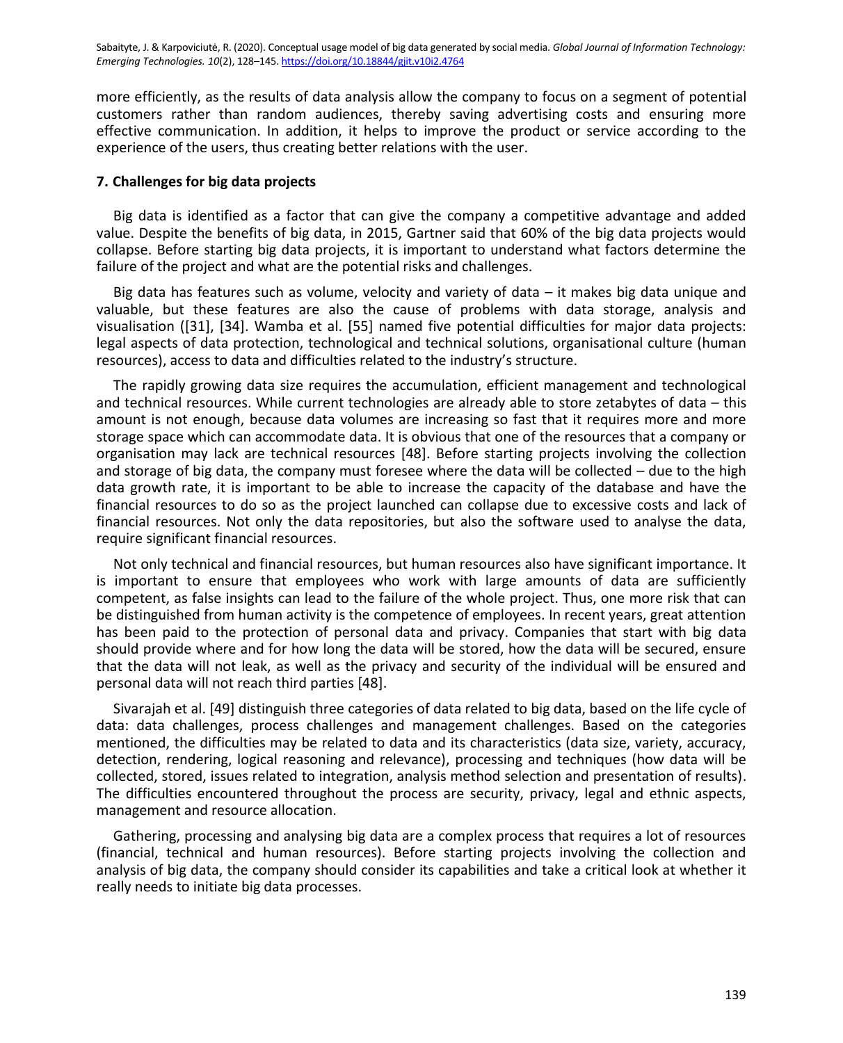more efficiently, as the results of data analysis allow the company to focus on a segment of potential customers rather than random audiences, thereby saving advertising costs and ensuring more effective communication. In addition, it helps to improve the product or service according to the experience of the users, thus creating better relations with the user.

#### **7. Challenges for big data projects**

Big data is identified as a factor that can give the company a competitive advantage and added value. Despite the benefits of big data, in 2015, Gartner said that 60% of the big data projects would collapse. Before starting big data projects, it is important to understand what factors determine the failure of the project and what are the potential risks and challenges.

Big data has features such as volume, velocity and variety of data – it makes big data unique and valuable, but these features are also the cause of problems with data storage, analysis and visualisation ([31], [34]. Wamba et al. [55] named five potential difficulties for major data projects: legal aspects of data protection, technological and technical solutions, organisational culture (human resources), access to data and difficulties related to the industry's structure.

The rapidly growing data size requires the accumulation, efficient management and technological and technical resources. While current technologies are already able to store zetabytes of data – this amount is not enough, because data volumes are increasing so fast that it requires more and more storage space which can accommodate data. It is obvious that one of the resources that a company or organisation may lack are technical resources [48]. Before starting projects involving the collection and storage of big data, the company must foresee where the data will be collected – due to the high data growth rate, it is important to be able to increase the capacity of the database and have the financial resources to do so as the project launched can collapse due to excessive costs and lack of financial resources. Not only the data repositories, but also the software used to analyse the data, require significant financial resources.

Not only technical and financial resources, but human resources also have significant importance. It is important to ensure that employees who work with large amounts of data are sufficiently competent, as false insights can lead to the failure of the whole project. Thus, one more risk that can be distinguished from human activity is the competence of employees. In recent years, great attention has been paid to the protection of personal data and privacy. Companies that start with big data should provide where and for how long the data will be stored, how the data will be secured, ensure that the data will not leak, as well as the privacy and security of the individual will be ensured and personal data will not reach third parties [48].

Sivarajah et al. [49] distinguish three categories of data related to big data, based on the life cycle of data: data challenges, process challenges and management challenges. Based on the categories mentioned, the difficulties may be related to data and its characteristics (data size, variety, accuracy, detection, rendering, logical reasoning and relevance), processing and techniques (how data will be collected, stored, issues related to integration, analysis method selection and presentation of results). The difficulties encountered throughout the process are security, privacy, legal and ethnic aspects, management and resource allocation.

Gathering, processing and analysing big data are a complex process that requires a lot of resources (financial, technical and human resources). Before starting projects involving the collection and analysis of big data, the company should consider its capabilities and take a critical look at whether it really needs to initiate big data processes.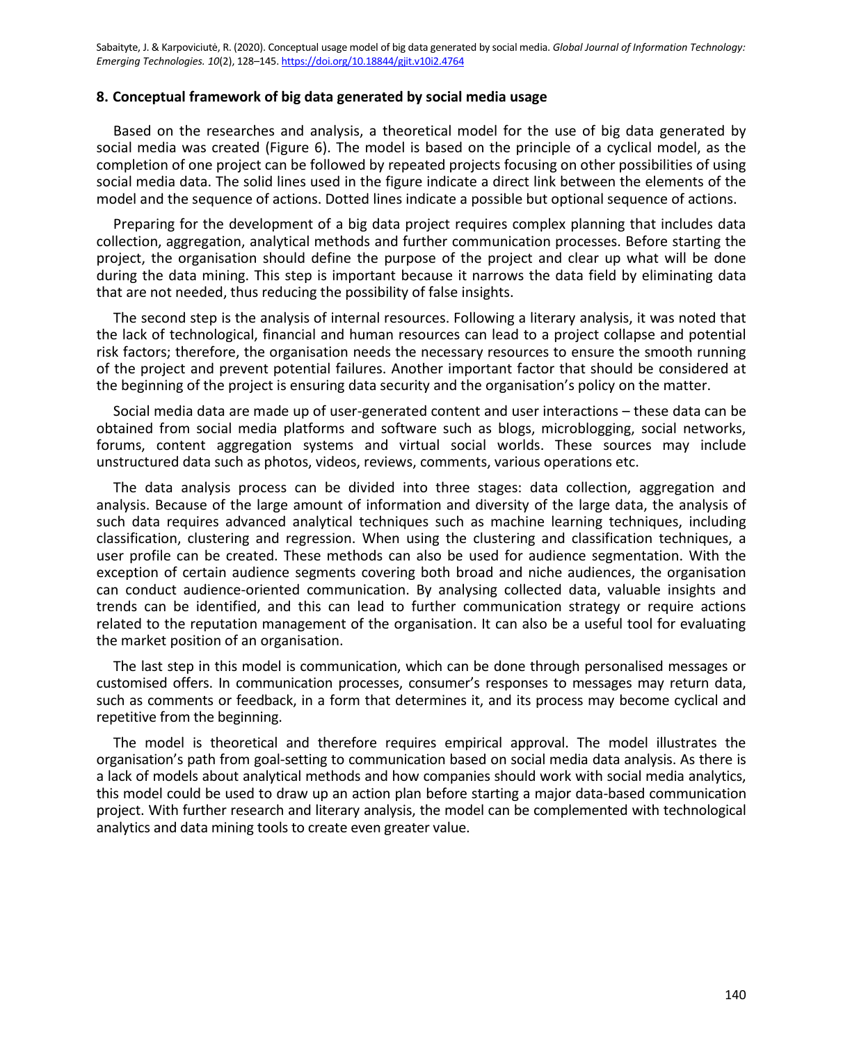# **8. Conceptual framework of big data generated by social media usage**

Based on the researches and analysis, a theoretical model for the use of big data generated by social media was created (Figure 6). The model is based on the principle of a cyclical model, as the completion of one project can be followed by repeated projects focusing on other possibilities of using social media data. The solid lines used in the figure indicate a direct link between the elements of the model and the sequence of actions. Dotted lines indicate a possible but optional sequence of actions.

Preparing for the development of a big data project requires complex planning that includes data collection, aggregation, analytical methods and further communication processes. Before starting the project, the organisation should define the purpose of the project and clear up what will be done during the data mining. This step is important because it narrows the data field by eliminating data that are not needed, thus reducing the possibility of false insights.

The second step is the analysis of internal resources. Following a literary analysis, it was noted that the lack of technological, financial and human resources can lead to a project collapse and potential risk factors; therefore, the organisation needs the necessary resources to ensure the smooth running of the project and prevent potential failures. Another important factor that should be considered at the beginning of the project is ensuring data security and the organisation's policy on the matter.

Social media data are made up of user-generated content and user interactions – these data can be obtained from social media platforms and software such as blogs, microblogging, social networks, forums, content aggregation systems and virtual social worlds. These sources may include unstructured data such as photos, videos, reviews, comments, various operations etc.

The data analysis process can be divided into three stages: data collection, aggregation and analysis. Because of the large amount of information and diversity of the large data, the analysis of such data requires advanced analytical techniques such as machine learning techniques, including classification, clustering and regression. When using the clustering and classification techniques, a user profile can be created. These methods can also be used for audience segmentation. With the exception of certain audience segments covering both broad and niche audiences, the organisation can conduct audience-oriented communication. By analysing collected data, valuable insights and trends can be identified, and this can lead to further communication strategy or require actions related to the reputation management of the organisation. It can also be a useful tool for evaluating the market position of an organisation.

The last step in this model is communication, which can be done through personalised messages or customised offers. In communication processes, consumer's responses to messages may return data, such as comments or feedback, in a form that determines it, and its process may become cyclical and repetitive from the beginning.

The model is theoretical and therefore requires empirical approval. The model illustrates the organisation's path from goal-setting to communication based on social media data analysis. As there is a lack of models about analytical methods and how companies should work with social media analytics, this model could be used to draw up an action plan before starting a major data-based communication project. With further research and literary analysis, the model can be complemented with technological analytics and data mining tools to create even greater value.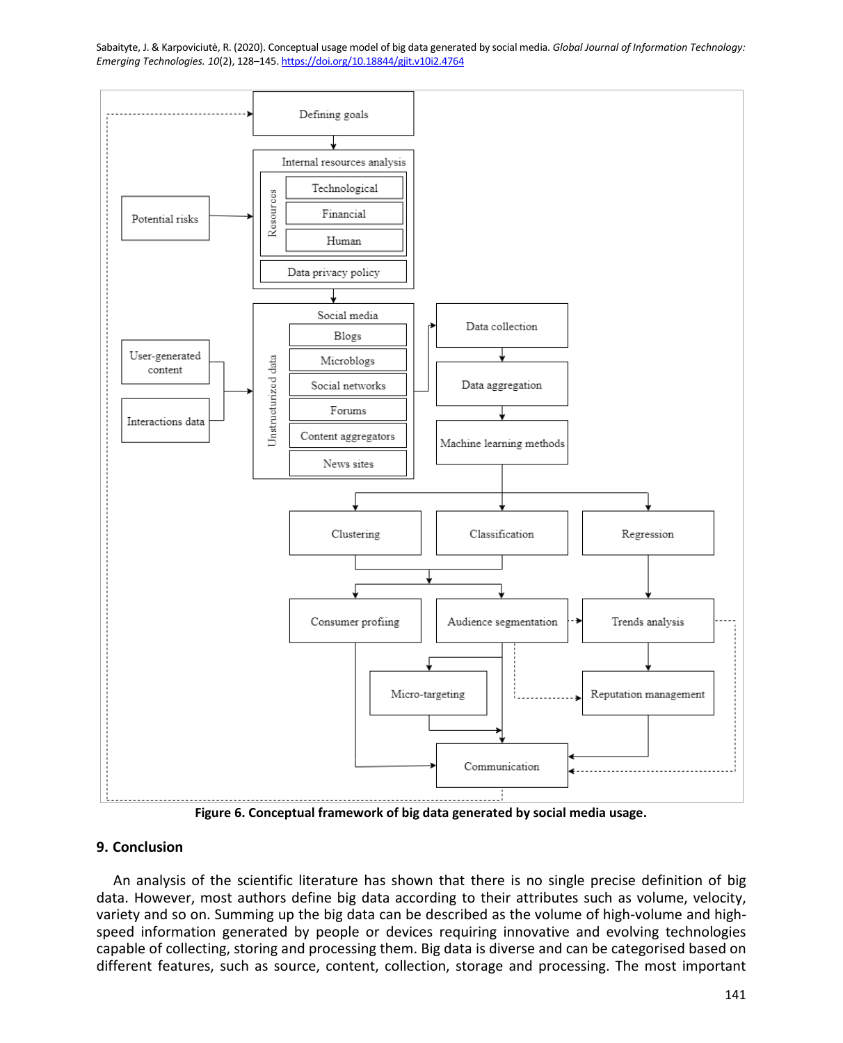

**Figure 6. Conceptual framework of big data generated by social media usage.**

## **9. Conclusion**

An analysis of the scientific literature has shown that there is no single precise definition of big data. However, most authors define big data according to their attributes such as volume, velocity, variety and so on. Summing up the big data can be described as the volume of high-volume and highspeed information generated by people or devices requiring innovative and evolving technologies capable of collecting, storing and processing them. Big data is diverse and can be categorised based on different features, such as source, content, collection, storage and processing. The most important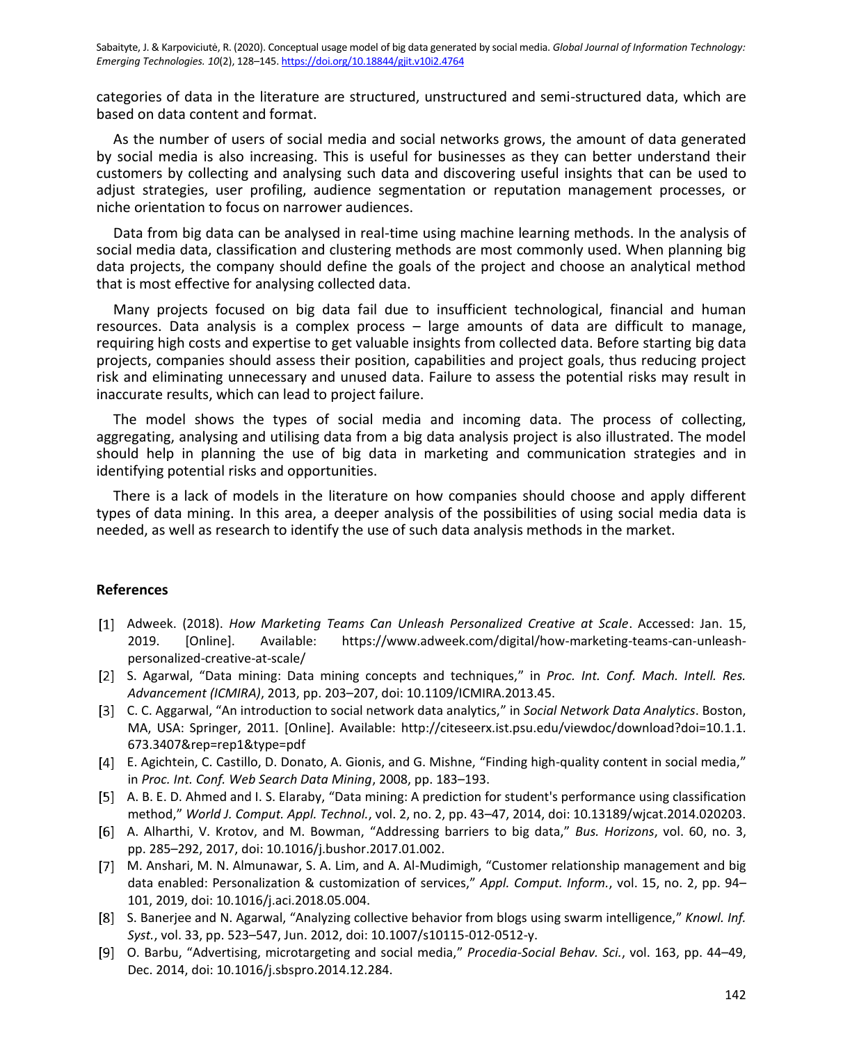categories of data in the literature are structured, unstructured and semi-structured data, which are based on data content and format.

As the number of users of social media and social networks grows, the amount of data generated by social media is also increasing. This is useful for businesses as they can better understand their customers by collecting and analysing such data and discovering useful insights that can be used to adjust strategies, user profiling, audience segmentation or reputation management processes, or niche orientation to focus on narrower audiences.

Data from big data can be analysed in real-time using machine learning methods. In the analysis of social media data, classification and clustering methods are most commonly used. When planning big data projects, the company should define the goals of the project and choose an analytical method that is most effective for analysing collected data.

Many projects focused on big data fail due to insufficient technological, financial and human resources. Data analysis is a complex process – large amounts of data are difficult to manage, requiring high costs and expertise to get valuable insights from collected data. Before starting big data projects, companies should assess their position, capabilities and project goals, thus reducing project risk and eliminating unnecessary and unused data. Failure to assess the potential risks may result in inaccurate results, which can lead to project failure.

The model shows the types of social media and incoming data. The process of collecting, aggregating, analysing and utilising data from a big data analysis project is also illustrated. The model should help in planning the use of big data in marketing and communication strategies and in identifying potential risks and opportunities.

There is a lack of models in the literature on how companies should choose and apply different types of data mining. In this area, a deeper analysis of the possibilities of using social media data is needed, as well as research to identify the use of such data analysis methods in the market.

# **References**

- Adweek. (2018). *How Marketing Teams Can Unleash Personalized Creative at Scale*. Accessed: Jan. 15, 2019. [Online]. Available: https://www.adweek.com/digital/how-marketing-teams-can-unleashpersonalized-creative-at-scale/
- [2] S. Agarwal, "Data mining: Data mining concepts and techniques," in *Proc. Int. Conf. Mach. Intell. Res. Advancement (ICMIRA)*, 2013, pp. 203–207, doi: 10.1109/ICMIRA.2013.45.
- C. C. Aggarwal, "An introduction to social network data analytics," in *Social Network Data Analytics*. Boston, MA, USA: Springer, 2011. [Online]. Available: http://citeseerx.ist.psu.edu/viewdoc/download?doi=10.1.1. 673.3407&rep=rep1&type=pdf
- E. Agichtein, C. Castillo, D. Donato, A. Gionis, and G. Mishne, "Finding high-quality content in social media," in *Proc. Int. Conf. Web Search Data Mining*, 2008, pp. 183–193.
- A. B. E. D. Ahmed and I. S. Elaraby, "Data mining: A prediction for student's performance using classification method," *World J. Comput. Appl. Technol.*, vol. 2, no. 2, pp. 43–47, 2014, doi: 10.13189/wjcat.2014.020203.
- A. Alharthi, V. Krotov, and M. Bowman, "Addressing barriers to big data," *Bus. Horizons*, vol. 60, no. 3, pp. 285–292, 2017, doi: 10.1016/j.bushor.2017.01.002.
- M. Anshari, M. N. Almunawar, S. A. Lim, and A. Al-Mudimigh, "Customer relationship management and big data enabled: Personalization & customization of services," *Appl. Comput. Inform.*, vol. 15, no. 2, pp. 94– 101, 2019, doi: 10.1016/j.aci.2018.05.004.
- S. Banerjee and N. Agarwal, "Analyzing collective behavior from blogs using swarm intelligence," *Knowl. Inf. Syst.*, vol. 33, pp. 523–547, Jun. 2012, doi: 10.1007/s10115-012-0512-y.
- O. Barbu, "Advertising, microtargeting and social media," *Procedia-Social Behav. Sci.*, vol. 163, pp. 44–49, Dec. 2014, doi: 10.1016/j.sbspro.2014.12.284.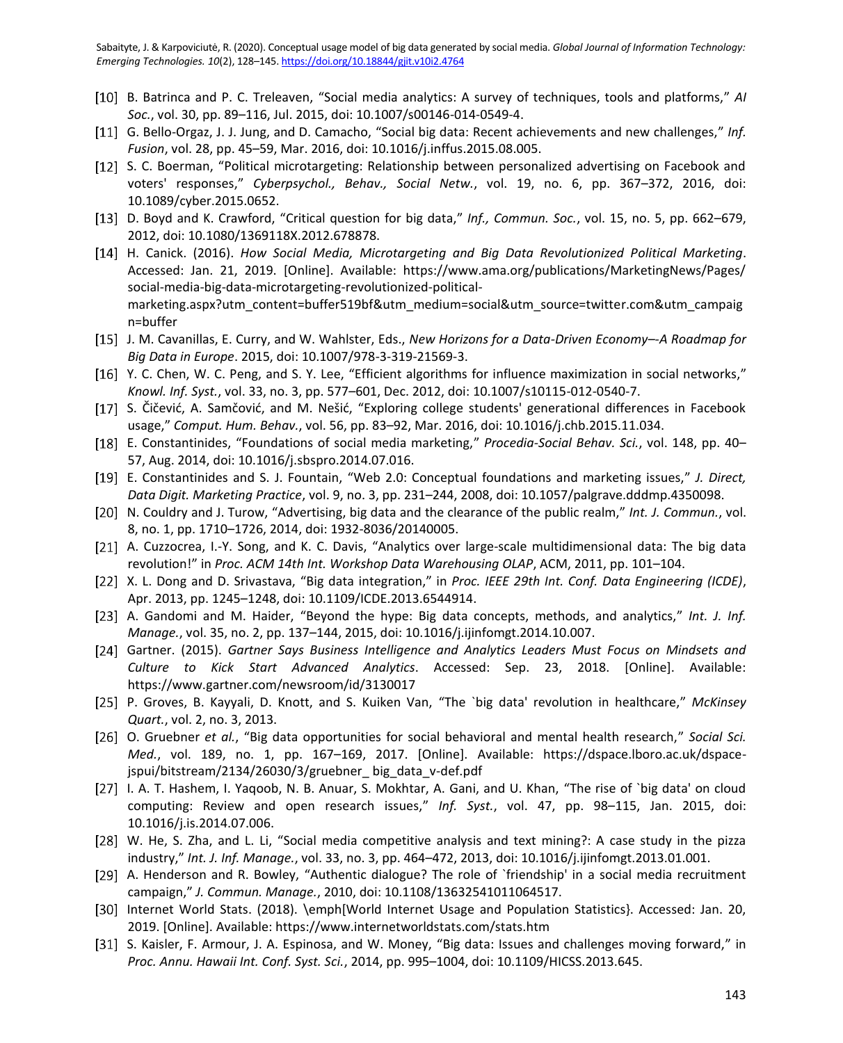- B. Batrinca and P. C. Treleaven, "Social media analytics: A survey of techniques, tools and platforms," *AI Soc.*, vol. 30, pp. 89–116, Jul. 2015, doi: 10.1007/s00146-014-0549-4.
- [11] G. Bello-Orgaz, J. J. Jung, and D. Camacho, "Social big data: Recent achievements and new challenges," Inf. *Fusion*, vol. 28, pp. 45–59, Mar. 2016, doi: 10.1016/j.inffus.2015.08.005.
- [12] S. C. Boerman, "Political microtargeting: Relationship between personalized advertising on Facebook and voters' responses," *Cyberpsychol., Behav., Social Netw.*, vol. 19, no. 6, pp. 367–372, 2016, doi: 10.1089/cyber.2015.0652.
- [13] D. Boyd and K. Crawford, "Critical question for big data," Inf., Commun. Soc., vol. 15, no. 5, pp. 662–679, 2012, doi: 10.1080/1369118X.2012.678878.
- H. Canick. (2016). *How Social Media, Microtargeting and Big Data Revolutionized Political Marketing*. Accessed: Jan. 21, 2019. [Online]. Available: https://www.ama.org/publications/MarketingNews/Pages/ social-media-big-data-microtargeting-revolutionized-politicalmarketing.aspx?utm\_content=buffer519bf&utm\_medium=social&utm\_source=twitter.com&utm\_campaig n=buffer
- J. M. Cavanillas, E. Curry, and W. Wahlster, Eds., *New Horizons for a Data-Driven Economy–-A Roadmap for Big Data in Europe*. 2015, doi: 10.1007/978-3-319-21569-3.
- [16] Y. C. Chen, W. C. Peng, and S. Y. Lee, "Efficient algorithms for influence maximization in social networks," *Knowl. Inf. Syst.*, vol. 33, no. 3, pp. 577–601, Dec. 2012, doi: 10.1007/s10115-012-0540-7.
- [17] S. Čičević, A. Samčović, and M. Nešić, "Exploring college students' generational differences in Facebook usage," *Comput. Hum. Behav.*, vol. 56, pp. 83–92, Mar. 2016, doi: 10.1016/j.chb.2015.11.034.
- E. Constantinides, "Foundations of social media marketing," *Procedia-Social Behav. Sci.*, vol. 148, pp. 40– 57, Aug. 2014, doi: 10.1016/j.sbspro.2014.07.016.
- [19] E. Constantinides and S. J. Fountain, "Web 2.0: Conceptual foundations and marketing issues," *J. Direct, Data Digit. Marketing Practice*, vol. 9, no. 3, pp. 231–244, 2008, doi: 10.1057/palgrave.dddmp.4350098.
- [20] N. Couldry and J. Turow, "Advertising, big data and the clearance of the public realm," Int. J. Commun., vol. 8, no. 1, pp. 1710–1726, 2014, doi: 1932-8036/20140005.
- [21] A. Cuzzocrea, I.-Y. Song, and K. C. Davis, "Analytics over large-scale multidimensional data: The big data revolution!" in *Proc. ACM 14th Int. Workshop Data Warehousing OLAP*, ACM, 2011, pp. 101–104.
- X. L. Dong and D. Srivastava, "Big data integration," in *Proc. IEEE 29th Int. Conf. Data Engineering (ICDE)*, Apr. 2013, pp. 1245–1248, doi: 10.1109/ICDE.2013.6544914.
- [23] A. Gandomi and M. Haider, "Beyond the hype: Big data concepts, methods, and analytics," Int. J. Inf. *Manage.*, vol. 35, no. 2, pp. 137–144, 2015, doi: 10.1016/j.ijinfomgt.2014.10.007.
- Gartner. (2015). *Gartner Says Business Intelligence and Analytics Leaders Must Focus on Mindsets and Culture to Kick Start Advanced Analytics*. Accessed: Sep. 23, 2018. [Online]. Available: https://www.gartner.com/newsroom/id/3130017
- P. Groves, B. Kayyali, D. Knott, and S. Kuiken Van, "The `big data' revolution in healthcare," *McKinsey Quart.*, vol. 2, no. 3, 2013.
- O. Gruebner *et al.*, "Big data opportunities for social behavioral and mental health research," *Social Sci. Med.*, vol. 189, no. 1, pp. 167–169, 2017. [Online]. Available: https://dspace.lboro.ac.uk/dspacejspui/bitstream/2134/26030/3/gruebner\_ big\_data\_v-def.pdf
- [27] I. A. T. Hashem, I. Yaqoob, N. B. Anuar, S. Mokhtar, A. Gani, and U. Khan, "The rise of `big data' on cloud computing: Review and open research issues," *Inf. Syst.*, vol. 47, pp. 98–115, Jan. 2015, doi: 10.1016/j.is.2014.07.006.
- [28] W. He, S. Zha, and L. Li, "Social media competitive analysis and text mining?: A case study in the pizza industry," *Int. J. Inf. Manage.*, vol. 33, no. 3, pp. 464–472, 2013, doi: 10.1016/j.ijinfomgt.2013.01.001.
- [29] A. Henderson and R. Bowley, "Authentic dialogue? The role of `friendship' in a social media recruitment campaign," *J. Commun. Manage.*, 2010, doi: 10.1108/13632541011064517.
- [30] Internet World Stats. (2018). \emph[World Internet Usage and Population Statistics}. Accessed: Jan. 20, 2019. [Online]. Available: https://www.internetworldstats.com/stats.htm
- [31] S. Kaisler, F. Armour, J. A. Espinosa, and W. Money, "Big data: Issues and challenges moving forward," in *Proc. Annu. Hawaii Int. Conf. Syst. Sci.*, 2014, pp. 995–1004, doi: 10.1109/HICSS.2013.645.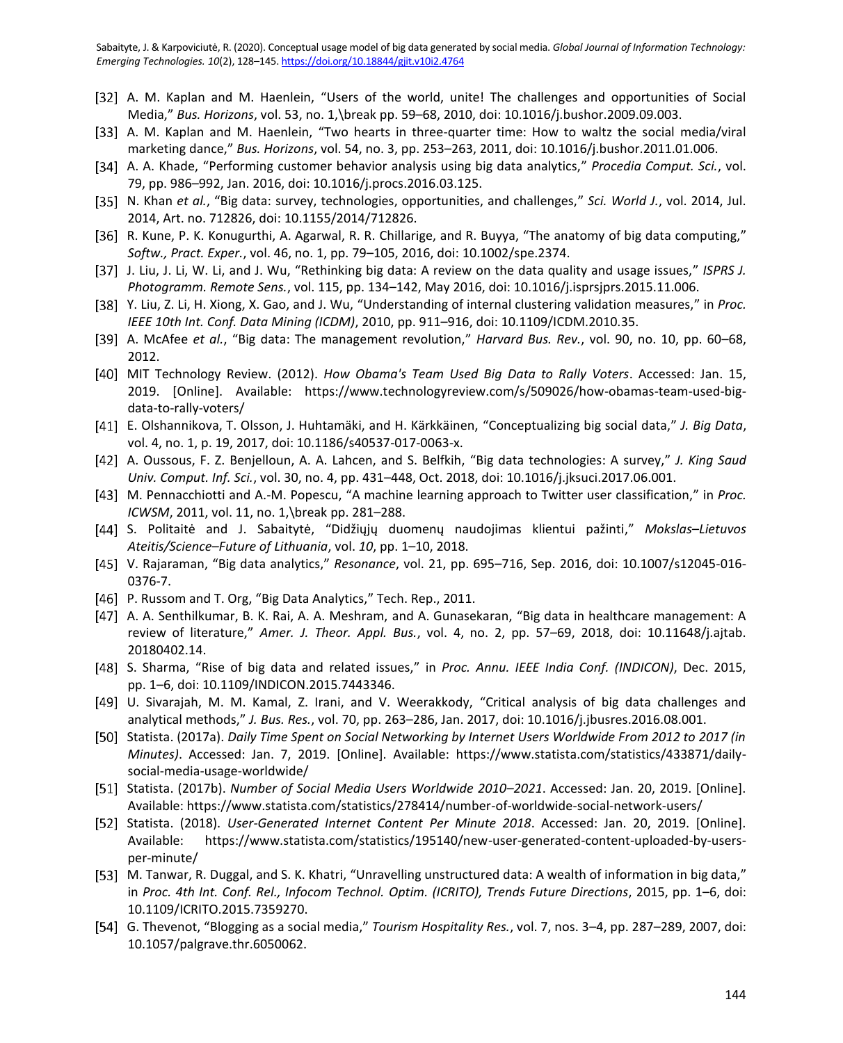- [32] A. M. Kaplan and M. Haenlein, "Users of the world, unite! The challenges and opportunities of Social Media," *Bus. Horizons*, vol. 53, no. 1,\break pp. 59–68, 2010, doi: 10.1016/j.bushor.2009.09.003.
- [33] A. M. Kaplan and M. Haenlein, "Two hearts in three-quarter time: How to waltz the social media/viral marketing dance," *Bus. Horizons*, vol. 54, no. 3, pp. 253–263, 2011, doi: 10.1016/j.bushor.2011.01.006.
- A. A. Khade, "Performing customer behavior analysis using big data analytics," *Procedia Comput. Sci.*, vol. 79, pp. 986–992, Jan. 2016, doi: 10.1016/j.procs.2016.03.125.
- [35] N. Khan *et al.*, "Big data: survey, technologies, opportunities, and challenges," *Sci. World J.*, vol. 2014, Jul. 2014, Art. no. 712826, doi: 10.1155/2014/712826.
- [36] R. Kune, P. K. Konugurthi, A. Agarwal, R. R. Chillarige, and R. Buyya, "The anatomy of big data computing," *Softw., Pract. Exper.*, vol. 46, no. 1, pp. 79–105, 2016, doi: 10.1002/spe.2374.
- [37] J. Liu, J. Li, W. Li, and J. Wu, "Rethinking big data: A review on the data quality and usage issues," *ISPRS J. Photogramm. Remote Sens.*, vol. 115, pp. 134–142, May 2016, doi: 10.1016/j.isprsjprs.2015.11.006.
- Y. Liu, Z. Li, H. Xiong, X. Gao, and J. Wu, "Understanding of internal clustering validation measures," in *Proc. IEEE 10th Int. Conf. Data Mining (ICDM)*, 2010, pp. 911–916, doi: 10.1109/ICDM.2010.35.
- A. McAfee *et al.*, "Big data: The management revolution," *Harvard Bus. Rev.*, vol. 90, no. 10, pp. 60–68, 2012.
- MIT Technology Review. (2012). *How Obama's Team Used Big Data to Rally Voters*. Accessed: Jan. 15, 2019. [Online]. Available: https://www.technologyreview.com/s/509026/how-obamas-team-used-bigdata-to-rally-voters/
- E. Olshannikova, T. Olsson, J. Huhtamäki, and H. Kärkkäinen, "Conceptualizing big social data," *J. Big Data*, vol. 4, no. 1, p. 19, 2017, doi: 10.1186/s40537-017-0063-x.
- A. Oussous, F. Z. Benjelloun, A. A. Lahcen, and S. Belfkih, "Big data technologies: A survey," *J. King Saud Univ. Comput. Inf. Sci.*, vol. 30, no. 4, pp. 431–448, Oct. 2018, doi: 10.1016/j.jksuci.2017.06.001.
- M. Pennacchiotti and A.-M. Popescu, "A machine learning approach to Twitter user classification," in *Proc. ICWSM*, 2011, vol. 11, no. 1,\break pp. 281–288.
- S. Politaitė and J. Sabaitytė, "Didžiųjų duomenų naudojimas klientui pažinti," *Mokslas–Lietuvos Ateitis/Science–Future of Lithuania*, vol. *10*, pp. 1–10, 2018.
- V. Rajaraman, "Big data analytics," *Resonance*, vol. 21, pp. 695–716, Sep. 2016, doi: 10.1007/s12045-016- 0376-7.
- [46] P. Russom and T. Org, "Big Data Analytics," Tech. Rep., 2011.
- A. A. Senthilkumar, B. K. Rai, A. A. Meshram, and A. Gunasekaran, "Big data in healthcare management: A review of literature," *Amer. J. Theor. Appl. Bus.*, vol. 4, no. 2, pp. 57–69, 2018, doi: 10.11648/j.ajtab. 20180402.14.
- [48] S. Sharma, "Rise of big data and related issues," in *Proc. Annu. IEEE India Conf. (INDICON)*, Dec. 2015, pp. 1–6, doi: 10.1109/INDICON.2015.7443346.
- U. Sivarajah, M. M. Kamal, Z. Irani, and V. Weerakkody, "Critical analysis of big data challenges and analytical methods," *J. Bus. Res.*, vol. 70, pp. 263–286, Jan. 2017, doi: 10.1016/j.jbusres.2016.08.001.
- [50] Statista. (2017a). *Daily Time Spent on Social Networking by Internet Users Worldwide From 2012 to 2017 (in Minutes)*. Accessed: Jan. 7, 2019. [Online]. Available: https://www.statista.com/statistics/433871/dailysocial-media-usage-worldwide/
- Statista. (2017b). *Number of Social Media Users Worldwide 2010–2021*. Accessed: Jan. 20, 2019. [Online]. Available: https://www.statista.com/statistics/278414/number-of-worldwide-social-network-users/
- Statista. (2018). *User-Generated Internet Content Per Minute 2018*. Accessed: Jan. 20, 2019. [Online]. Available: https://www.statista.com/statistics/195140/new-user-generated-content-uploaded-by-usersper-minute/
- [53] M. Tanwar, R. Duggal, and S. K. Khatri, "Unravelling unstructured data: A wealth of information in big data," in *Proc. 4th Int. Conf. Rel., Infocom Technol. Optim. (ICRITO), Trends Future Directions*, 2015, pp. 1–6, doi: 10.1109/ICRITO.2015.7359270.
- G. Thevenot, "Blogging as a social media," *Tourism Hospitality Res.*, vol. 7, nos. 3–4, pp. 287–289, 2007, doi: 10.1057/palgrave.thr.6050062.